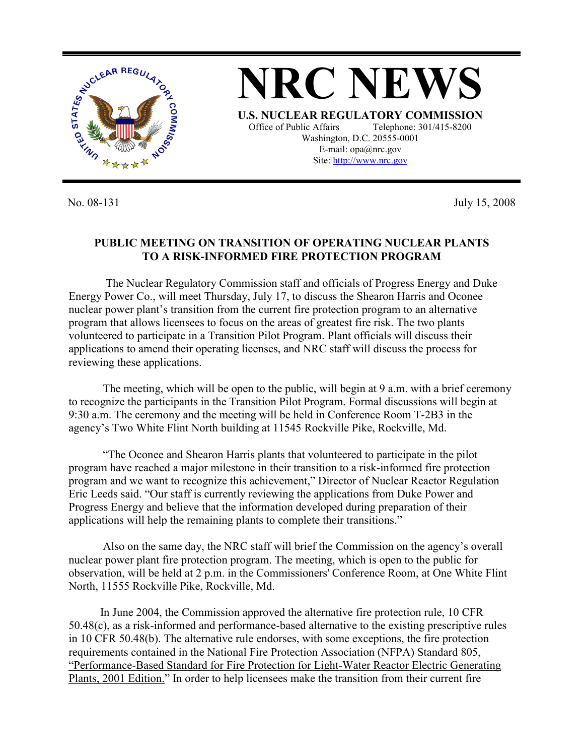

No. 08-131 July 15, 2008

## **PUBLIC MEETING ON TRANSITION OF OPERATING NUCLEAR PLANTS TO A RISK-INFORMED FIRE PROTECTION PROGRAM**

 The Nuclear Regulatory Commission staff and officials of Progress Energy and Duke Energy Power Co., will meet Thursday, July 17, to discuss the Shearon Harris and Oconee nuclear power plant's transition from the current fire protection program to an alternative program that allows licensees to focus on the areas of greatest fire risk. The two plants volunteered to participate in a Transition Pilot Program. Plant officials will discuss their applications to amend their operating licenses, and NRC staff will discuss the process for reviewing these applications.

The meeting, which will be open to the public, will begin at 9 a.m. with a brief ceremony to recognize the participants in the Transition Pilot Program. Formal discussions will begin at 9:30 a.m. The ceremony and the meeting will be held in Conference Room T-2B3 in the agency's Two White Flint North building at 11545 Rockville Pike, Rockville, Md.

"The Oconee and Shearon Harris plants that volunteered to participate in the pilot program have reached a major milestone in their transition to a risk-informed fire protection program and we want to recognize this achievement," Director of Nuclear Reactor Regulation Eric Leeds said. "Our staff is currently reviewing the applications from Duke Power and Progress Energy and believe that the information developed during preparation of their applications will help the remaining plants to complete their transitions."

Also on the same day, the NRC staff will brief the Commission on the agency's overall nuclear power plant fire protection program. The meeting, which is open to the public for observation, will be held at 2 p.m. in the Commissioners' Conference Room, at One White Flint North, 11555 Rockville Pike, Rockville, Md.

 In June 2004, the Commission approved the alternative fire protection rule, 10 CFR 50.48(c), as a risk-informed and performance-based alternative to the existing prescriptive rules in 10 CFR 50.48(b). The alternative rule endorses, with some exceptions, the fire protection requirements contained in the National Fire Protection Association (NFPA) Standard 805, "Performance-Based Standard for Fire Protection for Light-Water Reactor Electric Generating Plants, 2001 Edition." In order to help licensees make the transition from their current fire